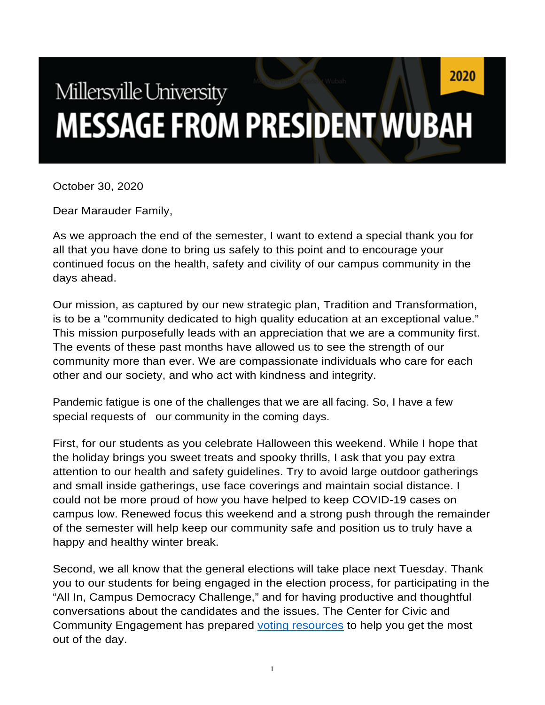## 2020 Millersville University **MESSAGE FROM PRESIDENT WUBAH**

October 30, 2020

Dear Marauder Family,

As we approach the end of the semester, I want to extend a special thank you for all that you have done to bring us safely to this point and to encourage your continued focus on the health, safety and civility of our campus community in the days ahead.

Our mission, as captured by our new strategic plan, Tradition and Transformation, is to be a "community dedicated to high quality education at an exceptional value." This mission purposefully leads with an appreciation that we are a community first. The events of these past months have allowed us to see the strength of our community more than ever. We are compassionate individuals who care for each other and our society, and who act with kindness and integrity.

Pandemic fatigue is one of the challenges that we are all facing. So, I have a few special requests of our community in the coming days.

First, for our students as you celebrate Halloween this weekend. While I hope that the holiday brings you sweet treats and spooky thrills, I ask that you pay extra attention to our health and safety guidelines. Try to avoid large outdoor gatherings and small inside gatherings, use face coverings and maintain social distance. I could not be more proud of how you have helped to keep COVID-19 cases on campus low. Renewed focus this weekend and a strong push through the remainder of the semester will help keep our community safe and position us to truly have a happy and healthy winter break.

Second, we all know that the general elections will take place next Tuesday. Thank you to our students for being engaged in the election process, for participating in the "All In, Campus Democracy Challenge," and for having productive and thoughtful conversations about the candidates and the issues. The Center for Civic and Community Engagement has prepared voting resources to help you get the most out of the day.

1